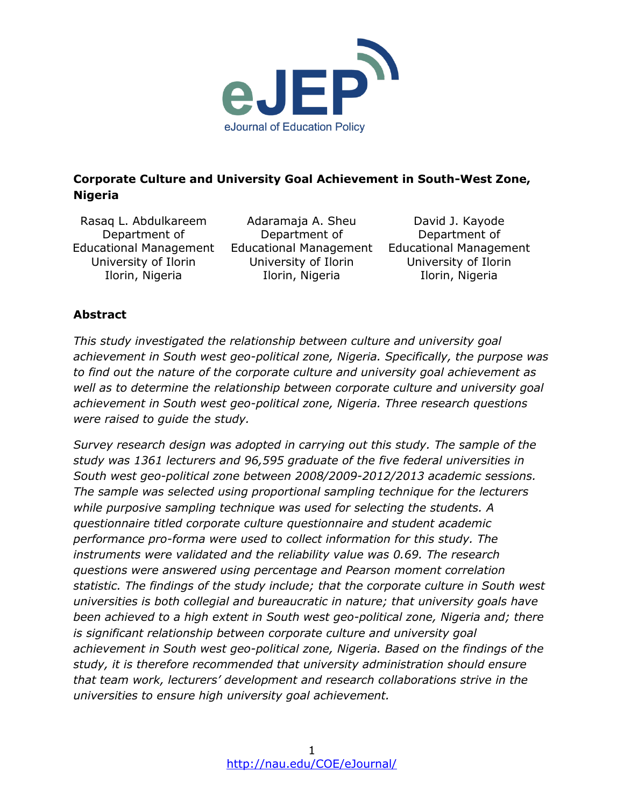

## **Corporate Culture and University Goal Achievement in South-West Zone, Nigeria**

Rasaq L. Abdulkareem Department of University of Ilorin Ilorin, Nigeria

Educational Management Educational Management Educational Management Adaramaja A. Sheu Department of University of Ilorin Ilorin, Nigeria

David J. Kayode Department of University of Ilorin Ilorin, Nigeria

### **Abstract**

*This study investigated the relationship between culture and university goal achievement in South west geo-political zone, Nigeria. Specifically, the purpose was to find out the nature of the corporate culture and university goal achievement as well as to determine the relationship between corporate culture and university goal achievement in South west geo-political zone, Nigeria. Three research questions were raised to guide the study.*

*Survey research design was adopted in carrying out this study. The sample of the study was 1361 lecturers and 96,595 graduate of the five federal universities in South west geo-political zone between 2008/2009-2012/2013 academic sessions. The sample was selected using proportional sampling technique for the lecturers while purposive sampling technique was used for selecting the students. A questionnaire titled corporate culture questionnaire and student academic performance pro-forma were used to collect information for this study. The instruments were validated and the reliability value was 0.69. The research questions were answered using percentage and Pearson moment correlation statistic. The findings of the study include; that the corporate culture in South west universities is both collegial and bureaucratic in nature; that university goals have been achieved to a high extent in South west geo-political zone, Nigeria and; there is significant relationship between corporate culture and university goal achievement in South west geo-political zone, Nigeria. Based on the findings of the study, it is therefore recommended that university administration should ensure that team work, lecturers' development and research collaborations strive in the universities to ensure high university goal achievement.*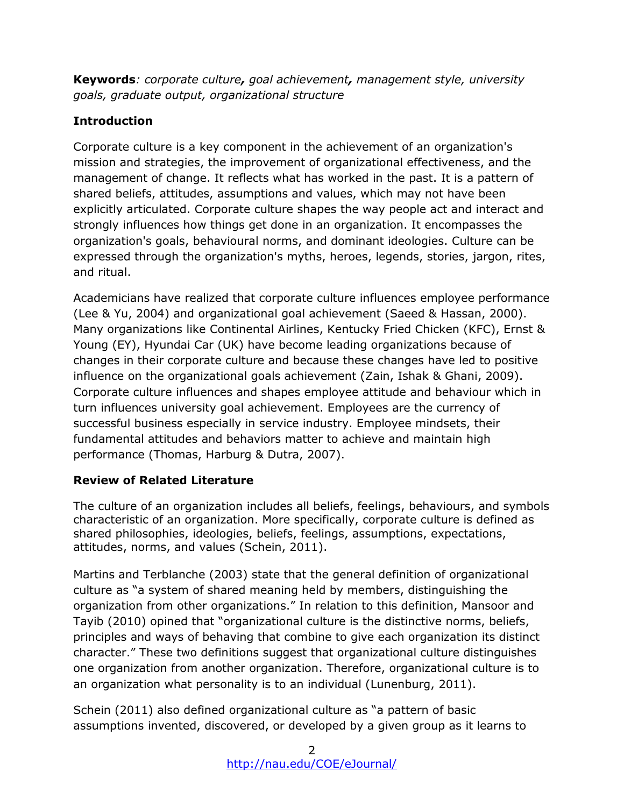**Keywords***: corporate culture, goal achievement, management style, university goals, graduate output, organizational structure*

## **Introduction**

Corporate culture is a key component in the achievement of an organization's mission and strategies, the improvement of organizational effectiveness, and the management of change. It reflects what has worked in the past. It is a pattern of shared beliefs, attitudes, assumptions and values, which may not have been explicitly articulated. Corporate culture shapes the way people act and interact and strongly influences how things get done in an organization. It encompasses the organization's goals, behavioural norms, and dominant ideologies. Culture can be expressed through the organization's myths, heroes, legends, stories, jargon, rites, and ritual.

Academicians have realized that corporate culture influences employee performance (Lee & Yu, 2004) and organizational goal achievement (Saeed & Hassan, 2000). Many organizations like Continental Airlines, Kentucky Fried Chicken (KFC), Ernst & Young (EY), Hyundai Car (UK) have become leading organizations because of changes in their corporate culture and because these changes have led to positive influence on the organizational goals achievement (Zain, Ishak & Ghani, 2009). Corporate culture influences and shapes employee attitude and behaviour which in turn influences university goal achievement. Employees are the currency of successful business especially in service industry. Employee mindsets, their fundamental attitudes and behaviors matter to achieve and maintain high performance (Thomas, Harburg & Dutra, 2007).

### **Review of Related Literature**

The culture of an organization includes all beliefs, feelings, behaviours, and symbols characteristic of an organization. More specifically, corporate culture is defined as shared philosophies, ideologies, beliefs, feelings, assumptions, expectations, attitudes, norms, and values (Schein, 2011).

Martins and Terblanche (2003) state that the general definition of organizational culture as "a system of shared meaning held by members, distinguishing the organization from other organizations." In relation to this definition, Mansoor and Tayib (2010) opined that "organizational culture is the distinctive norms, beliefs, principles and ways of behaving that combine to give each organization its distinct character." These two definitions suggest that organizational culture distinguishes one organization from another organization. Therefore, organizational culture is to an organization what personality is to an individual (Lunenburg, 2011).

Schein (2011) also defined organizational culture as "a pattern of basic assumptions invented, discovered, or developed by a given group as it learns to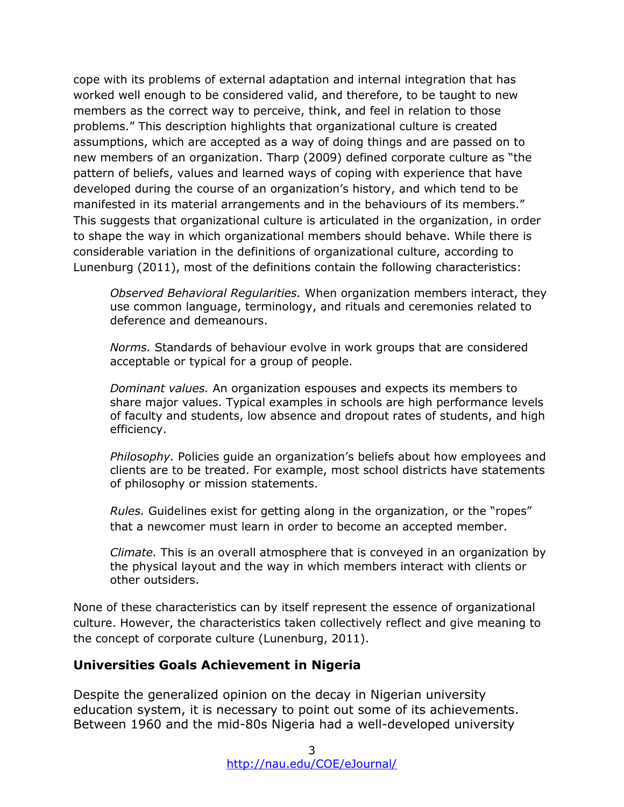cope with its problems of external adaptation and internal integration that has worked well enough to be considered valid, and therefore, to be taught to new members as the correct way to perceive, think, and feel in relation to those problems." This description highlights that organizational culture is created assumptions, which are accepted as a way of doing things and are passed on to new members of an organization. Tharp (2009) defined corporate culture as "the pattern of beliefs, values and learned ways of coping with experience that have developed during the course of an organization's history, and which tend to be manifested in its material arrangements and in the behaviours of its members." This suggests that organizational culture is articulated in the organization, in order to shape the way in which organizational members should behave. While there is considerable variation in the definitions of organizational culture, according to Lunenburg (2011), most of the definitions contain the following characteristics:

*Observed Behavioral Regularities.* When organization members interact, they use common language, terminology, and rituals and ceremonies related to deference and demeanours.

*Norms.* Standards of behaviour evolve in work groups that are considered acceptable or typical for a group of people.

*Dominant values.* An organization espouses and expects its members to share major values. Typical examples in schools are high performance levels of faculty and students, low absence and dropout rates of students, and high efficiency.

*Philosophy.* Policies guide an organization's beliefs about how employees and clients are to be treated. For example, most school districts have statements of philosophy or mission statements.

*Rules.* Guidelines exist for getting along in the organization, or the "ropes" that a newcomer must learn in order to become an accepted member.

*Climate.* This is an overall atmosphere that is conveyed in an organization by the physical layout and the way in which members interact with clients or other outsiders.

None of these characteristics can by itself represent the essence of organizational culture. However, the characteristics taken collectively reflect and give meaning to the concept of corporate culture (Lunenburg, 2011).

### **Universities Goals Achievement in Nigeria**

Despite the generalized opinion on the decay in Nigerian university education system, it is necessary to point out some of its achievements. Between 1960 and the mid-80s Nigeria had a well-developed university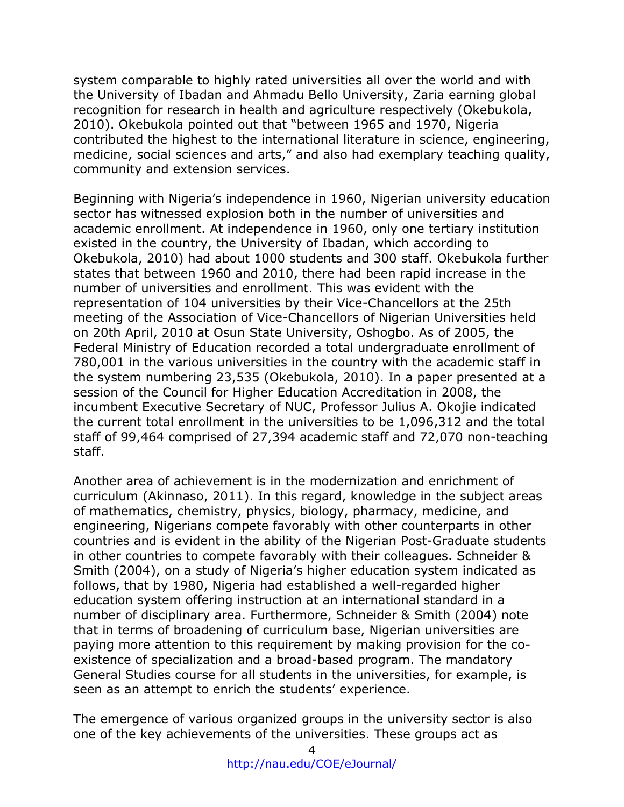system comparable to highly rated universities all over the world and with the University of Ibadan and Ahmadu Bello University, Zaria earning global recognition for research in health and agriculture respectively (Okebukola, 2010). Okebukola pointed out that "between 1965 and 1970, Nigeria contributed the highest to the international literature in science, engineering, medicine, social sciences and arts," and also had exemplary teaching quality, community and extension services.

Beginning with Nigeria's independence in 1960, Nigerian university education sector has witnessed explosion both in the number of universities and academic enrollment. At independence in 1960, only one tertiary institution existed in the country, the University of Ibadan, which according to Okebukola, 2010) had about 1000 students and 300 staff. Okebukola further states that between 1960 and 2010, there had been rapid increase in the number of universities and enrollment. This was evident with the representation of 104 universities by their Vice-Chancellors at the 25th meeting of the Association of Vice-Chancellors of Nigerian Universities held on 20th April, 2010 at Osun State University, Oshogbo. As of 2005, the Federal Ministry of Education recorded a total undergraduate enrollment of 780,001 in the various universities in the country with the academic staff in the system numbering 23,535 (Okebukola, 2010). In a paper presented at a session of the Council for Higher Education Accreditation in 2008, the incumbent Executive Secretary of NUC, Professor Julius A. Okojie indicated the current total enrollment in the universities to be 1,096,312 and the total staff of 99,464 comprised of 27,394 academic staff and 72,070 non-teaching staff.

Another area of achievement is in the modernization and enrichment of curriculum (Akinnaso, 2011). In this regard, knowledge in the subject areas of mathematics, chemistry, physics, biology, pharmacy, medicine, and engineering, Nigerians compete favorably with other counterparts in other countries and is evident in the ability of the Nigerian Post-Graduate students in other countries to compete favorably with their colleagues. Schneider & Smith (2004), on a study of Nigeria's higher education system indicated as follows, that by 1980, Nigeria had established a well-regarded higher education system offering instruction at an international standard in a number of disciplinary area. Furthermore, Schneider & Smith (2004) note that in terms of broadening of curriculum base, Nigerian universities are paying more attention to this requirement by making provision for the coexistence of specialization and a broad-based program. The mandatory General Studies course for all students in the universities, for example, is seen as an attempt to enrich the students' experience.

The emergence of various organized groups in the university sector is also one of the key achievements of the universities. These groups act as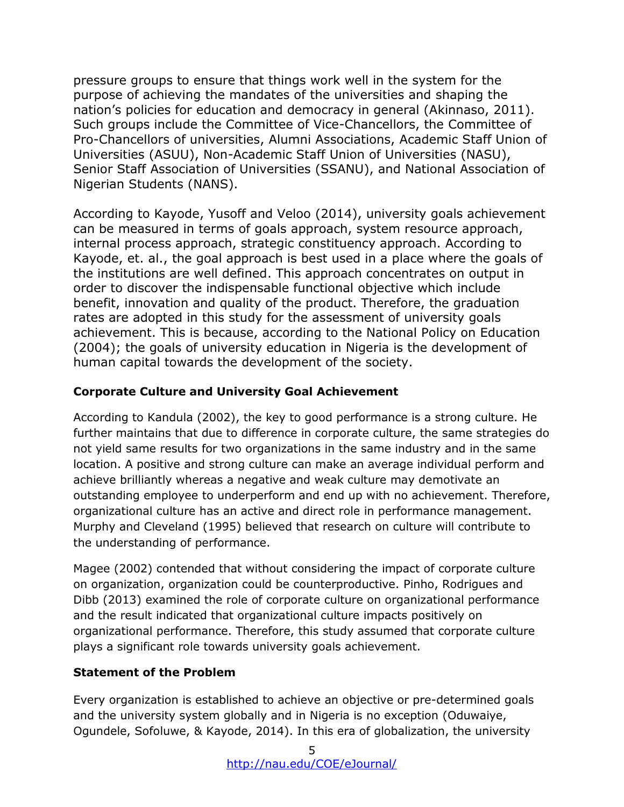pressure groups to ensure that things work well in the system for the purpose of achieving the mandates of the universities and shaping the nation's policies for education and democracy in general (Akinnaso, 2011). Such groups include the Committee of Vice-Chancellors, the Committee of Pro-Chancellors of universities, Alumni Associations, Academic Staff Union of Universities (ASUU), Non-Academic Staff Union of Universities (NASU), Senior Staff Association of Universities (SSANU), and National Association of Nigerian Students (NANS).

According to Kayode, Yusoff and Veloo (2014), university goals achievement can be measured in terms of goals approach, system resource approach, internal process approach, strategic constituency approach. According to Kayode, et. al., the goal approach is best used in a place where the goals of the institutions are well defined. This approach concentrates on output in order to discover the indispensable functional objective which include benefit, innovation and quality of the product. Therefore, the graduation rates are adopted in this study for the assessment of university goals achievement. This is because, according to the National Policy on Education (2004); the goals of university education in Nigeria is the development of human capital towards the development of the society.

# **Corporate Culture and University Goal Achievement**

According to Kandula (2002), the key to good performance is a strong culture. He further maintains that due to difference in corporate culture, the same strategies do not yield same results for two organizations in the same industry and in the same location. A positive and strong culture can make an average individual perform and achieve brilliantly whereas a negative and weak culture may demotivate an outstanding employee to underperform and end up with no achievement. Therefore, organizational culture has an active and direct role in performance management. Murphy and Cleveland (1995) believed that research on culture will contribute to the understanding of performance.

Magee (2002) contended that without considering the impact of corporate culture on organization, organization could be counterproductive. Pinho, Rodrigues and Dibb (2013) examined the role of corporate culture on organizational performance and the result indicated that organizational culture impacts positively on organizational performance. Therefore, this study assumed that corporate culture plays a significant role towards university goals achievement.

# **Statement of the Problem**

Every organization is established to achieve an objective or pre-determined goals and the university system globally and in Nigeria is no exception (Oduwaiye, Ogundele, Sofoluwe, & Kayode, 2014). In this era of globalization, the university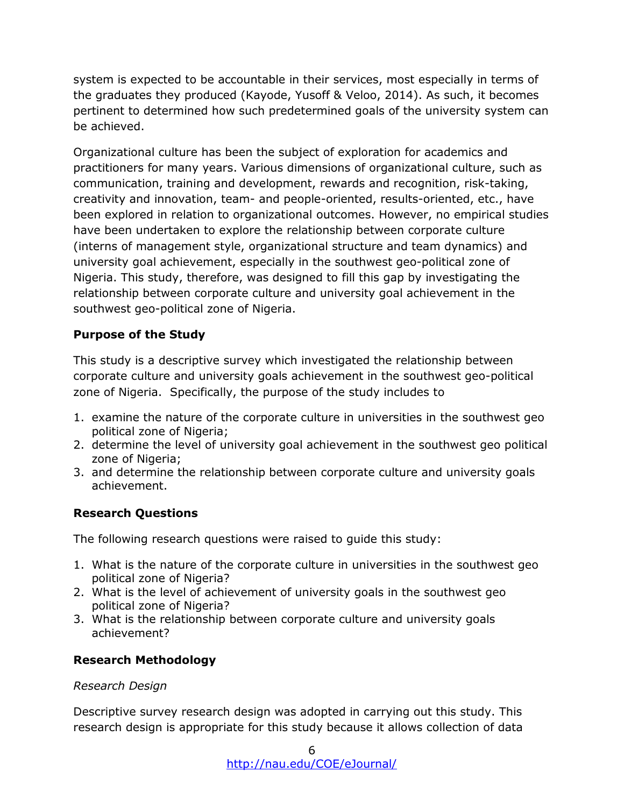system is expected to be accountable in their services, most especially in terms of the graduates they produced (Kayode, Yusoff & Veloo, 2014). As such, it becomes pertinent to determined how such predetermined goals of the university system can be achieved.

Organizational culture has been the subject of exploration for academics and practitioners for many years. Various dimensions of organizational culture, such as communication, training and development, rewards and recognition, risk-taking, creativity and innovation, team- and people-oriented, results-oriented, etc., have been explored in relation to organizational outcomes. However, no empirical studies have been undertaken to explore the relationship between corporate culture (interns of management style, organizational structure and team dynamics) and university goal achievement, especially in the southwest geo-political zone of Nigeria. This study, therefore, was designed to fill this gap by investigating the relationship between corporate culture and university goal achievement in the southwest geo-political zone of Nigeria.

### **Purpose of the Study**

This study is a descriptive survey which investigated the relationship between corporate culture and university goals achievement in the southwest geo-political zone of Nigeria. Specifically, the purpose of the study includes to

- 1. examine the nature of the corporate culture in universities in the southwest geo political zone of Nigeria;
- 2. determine the level of university goal achievement in the southwest geo political zone of Nigeria;
- 3. and determine the relationship between corporate culture and university goals achievement.

### **Research Questions**

The following research questions were raised to guide this study:

- 1. What is the nature of the corporate culture in universities in the southwest geo political zone of Nigeria?
- 2. What is the level of achievement of university goals in the southwest geo political zone of Nigeria?
- 3. What is the relationship between corporate culture and university goals achievement?

### **Research Methodology**

### *Research Design*

Descriptive survey research design was adopted in carrying out this study. This research design is appropriate for this study because it allows collection of data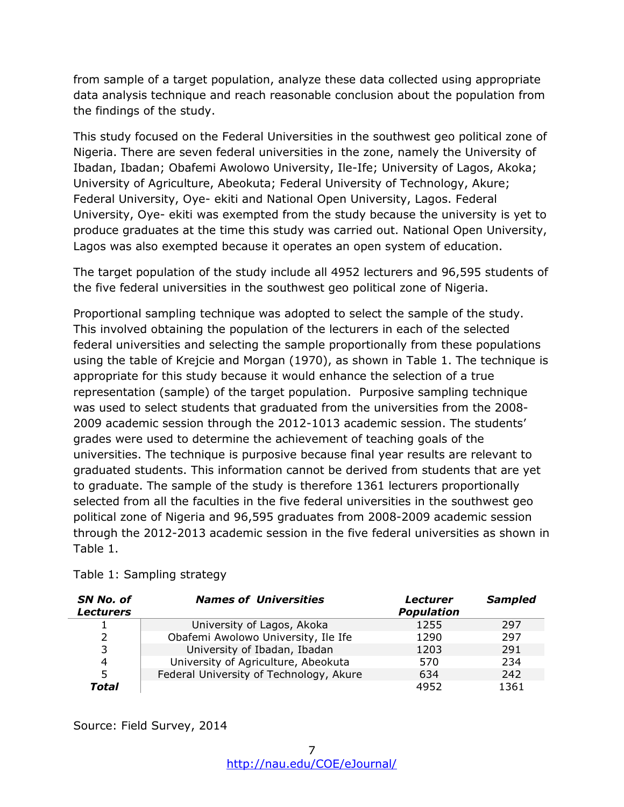from sample of a target population, analyze these data collected using appropriate data analysis technique and reach reasonable conclusion about the population from the findings of the study.

This study focused on the Federal Universities in the southwest geo political zone of Nigeria. There are seven federal universities in the zone, namely the University of Ibadan, Ibadan; Obafemi Awolowo University, Ile-Ife; University of Lagos, Akoka; University of Agriculture, Abeokuta; Federal University of Technology, Akure; Federal University, Oye- ekiti and National Open University, Lagos. Federal University, Oye- ekiti was exempted from the study because the university is yet to produce graduates at the time this study was carried out. National Open University, Lagos was also exempted because it operates an open system of education.

The target population of the study include all 4952 lecturers and 96,595 students of the five federal universities in the southwest geo political zone of Nigeria.

Proportional sampling technique was adopted to select the sample of the study. This involved obtaining the population of the lecturers in each of the selected federal universities and selecting the sample proportionally from these populations using the table of Krejcie and Morgan (1970), as shown in Table 1. The technique is appropriate for this study because it would enhance the selection of a true representation (sample) of the target population. Purposive sampling technique was used to select students that graduated from the universities from the 2008- 2009 academic session through the 2012-1013 academic session. The students' grades were used to determine the achievement of teaching goals of the universities. The technique is purposive because final year results are relevant to graduated students. This information cannot be derived from students that are yet to graduate. The sample of the study is therefore 1361 lecturers proportionally selected from all the faculties in the five federal universities in the southwest geo political zone of Nigeria and 96,595 graduates from 2008-2009 academic session through the 2012-2013 academic session in the five federal universities as shown in Table 1.

| SN No. of<br><b>Lecturers</b> | <b>Names of Universities</b>            | <b>Lecturer</b><br><b>Population</b> | <b>Sampled</b> |
|-------------------------------|-----------------------------------------|--------------------------------------|----------------|
| ┻                             | University of Lagos, Akoka              | 1255                                 | 297            |
| 2                             | Obafemi Awolowo University, Ile Ife     | 1290                                 | 297            |
| 3                             | University of Ibadan, Ibadan            | 1203                                 | 291            |
| 4                             | University of Agriculture, Abeokuta     | 570                                  | 234            |
| 5                             | Federal University of Technology, Akure | 634                                  | 242            |
| Total                         |                                         | 4952                                 | 1361           |

Table 1: Sampling strategy

Source: Field Survey, 2014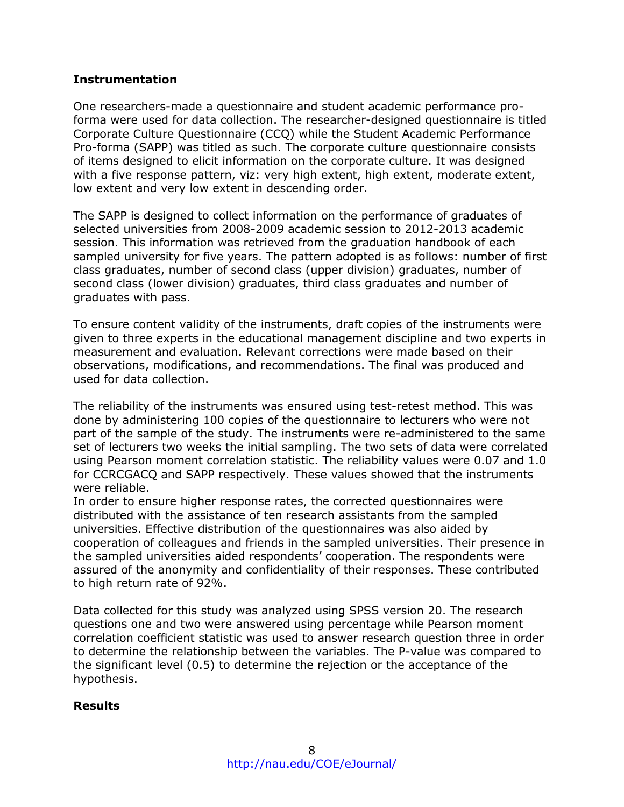#### **Instrumentation**

One researchers-made a questionnaire and student academic performance proforma were used for data collection. The researcher-designed questionnaire is titled Corporate Culture Questionnaire (CCQ) while the Student Academic Performance Pro-forma (SAPP) was titled as such. The corporate culture questionnaire consists of items designed to elicit information on the corporate culture. It was designed with a five response pattern, viz: very high extent, high extent, moderate extent, low extent and very low extent in descending order.

The SAPP is designed to collect information on the performance of graduates of selected universities from 2008-2009 academic session to 2012-2013 academic session. This information was retrieved from the graduation handbook of each sampled university for five years. The pattern adopted is as follows: number of first class graduates, number of second class (upper division) graduates, number of second class (lower division) graduates, third class graduates and number of graduates with pass.

To ensure content validity of the instruments, draft copies of the instruments were given to three experts in the educational management discipline and two experts in measurement and evaluation. Relevant corrections were made based on their observations, modifications, and recommendations. The final was produced and used for data collection.

The reliability of the instruments was ensured using test-retest method. This was done by administering 100 copies of the questionnaire to lecturers who were not part of the sample of the study. The instruments were re-administered to the same set of lecturers two weeks the initial sampling. The two sets of data were correlated using Pearson moment correlation statistic. The reliability values were 0.07 and 1.0 for CCRCGACQ and SAPP respectively. These values showed that the instruments were reliable.

In order to ensure higher response rates, the corrected questionnaires were distributed with the assistance of ten research assistants from the sampled universities. Effective distribution of the questionnaires was also aided by cooperation of colleagues and friends in the sampled universities. Their presence in the sampled universities aided respondents' cooperation. The respondents were assured of the anonymity and confidentiality of their responses. These contributed to high return rate of 92%.

Data collected for this study was analyzed using SPSS version 20. The research questions one and two were answered using percentage while Pearson moment correlation coefficient statistic was used to answer research question three in order to determine the relationship between the variables. The P-value was compared to the significant level (0.5) to determine the rejection or the acceptance of the hypothesis.

#### **Results**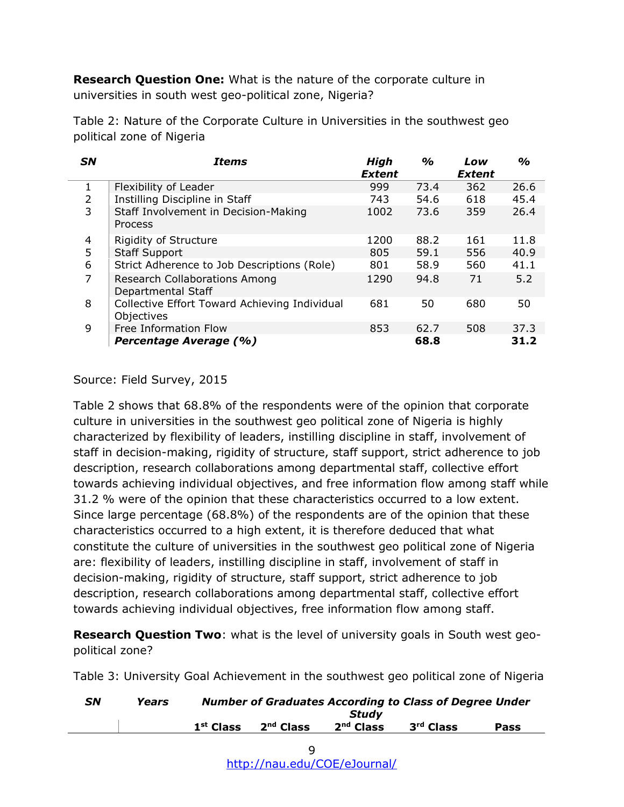**Research Question One:** What is the nature of the corporate culture in universities in south west geo-political zone, Nigeria?

Table 2: Nature of the Corporate Culture in Universities in the southwest geo political zone of Nigeria

| <b>SN</b> | <b>Items</b>                                                | <b>High</b><br><b>Extent</b> | $\%$ | Low<br><b>Extent</b> | $\frac{9}{6}$ |
|-----------|-------------------------------------------------------------|------------------------------|------|----------------------|---------------|
| 1         | Flexibility of Leader                                       | 999                          | 73.4 | 362                  | 26.6          |
| 2         | Instilling Discipline in Staff                              | 743                          | 54.6 | 618                  | 45.4          |
| 3         | Staff Involvement in Decision-Making<br>Process             | 1002                         | 73.6 | 359                  | 26.4          |
| 4         | <b>Rigidity of Structure</b>                                | 1200                         | 88.2 | 161                  | 11.8          |
| 5         | <b>Staff Support</b>                                        | 805                          | 59.1 | 556                  | 40.9          |
| 6         | Strict Adherence to Job Descriptions (Role)                 | 801                          | 58.9 | 560                  | 41.1          |
| 7         | <b>Research Collaborations Among</b><br>Departmental Staff  | 1290                         | 94.8 | 71                   | 5.2           |
| 8         | Collective Effort Toward Achieving Individual<br>Objectives | 681                          | 50   | 680                  | 50            |
| 9         | Free Information Flow                                       | 853                          | 62.7 | 508                  | 37.3          |
|           | Percentage Average (%)                                      |                              | 68.8 |                      | 31.2          |

Source: Field Survey, 2015

Table 2 shows that 68.8% of the respondents were of the opinion that corporate culture in universities in the southwest geo political zone of Nigeria is highly characterized by flexibility of leaders, instilling discipline in staff, involvement of staff in decision-making, rigidity of structure, staff support, strict adherence to job description, research collaborations among departmental staff, collective effort towards achieving individual objectives, and free information flow among staff while 31.2 % were of the opinion that these characteristics occurred to a low extent. Since large percentage (68.8%) of the respondents are of the opinion that these characteristics occurred to a high extent, it is therefore deduced that what constitute the culture of universities in the southwest geo political zone of Nigeria are: flexibility of leaders, instilling discipline in staff, involvement of staff in decision-making, rigidity of structure, staff support, strict adherence to job description, research collaborations among departmental staff, collective effort towards achieving individual objectives, free information flow among staff.

**Research Question Two**: what is the level of university goals in South west geopolitical zone?

Table 3: University Goal Achievement in the southwest geo political zone of Nigeria

| <b>SN</b> | Years | <b>Number of Graduates According to Class of Degree Under</b> |                       |                      |                       |      |  |
|-----------|-------|---------------------------------------------------------------|-----------------------|----------------------|-----------------------|------|--|
|           |       | $1st$ Class                                                   | 2 <sup>nd</sup> Class | Studv<br>$2nd$ Class | 3 <sup>rd</sup> Class | Pass |  |
|           |       |                                                               |                       |                      |                       |      |  |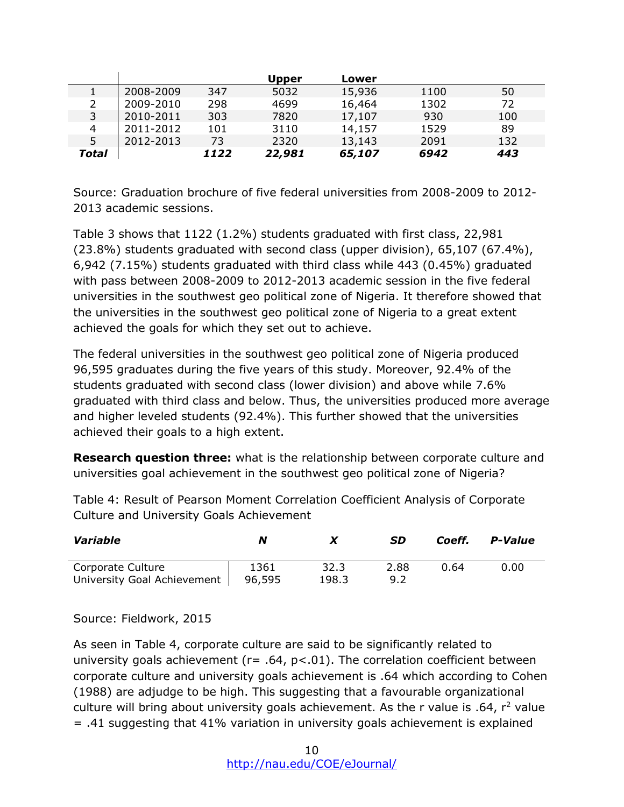|       |           |      | <b>Upper</b> | Lower  |      |     |
|-------|-----------|------|--------------|--------|------|-----|
|       | 2008-2009 | 347  | 5032         | 15,936 | 1100 | 50  |
|       | 2009-2010 | 298  | 4699         | 16,464 | 1302 | 72  |
| 3     | 2010-2011 | 303  | 7820         | 17,107 | 930  | 100 |
| 4     | 2011-2012 | 101  | 3110         | 14,157 | 1529 | 89  |
| 5.    | 2012-2013 | 73   | 2320         | 13,143 | 2091 | 132 |
| Total |           | 1122 | 22,981       | 65,107 | 6942 | 443 |

Source: Graduation brochure of five federal universities from 2008-2009 to 2012- 2013 academic sessions.

Table 3 shows that 1122 (1.2%) students graduated with first class, 22,981 (23.8%) students graduated with second class (upper division), 65,107 (67.4%), 6,942 (7.15%) students graduated with third class while 443 (0.45%) graduated with pass between 2008-2009 to 2012-2013 academic session in the five federal universities in the southwest geo political zone of Nigeria. It therefore showed that the universities in the southwest geo political zone of Nigeria to a great extent achieved the goals for which they set out to achieve.

The federal universities in the southwest geo political zone of Nigeria produced 96,595 graduates during the five years of this study. Moreover, 92.4% of the students graduated with second class (lower division) and above while 7.6% graduated with third class and below. Thus, the universities produced more average and higher leveled students (92.4%). This further showed that the universities achieved their goals to a high extent.

**Research question three:** what is the relationship between corporate culture and universities goal achievement in the southwest geo political zone of Nigeria?

Table 4: Result of Pearson Moment Correlation Coefficient Analysis of Corporate Culture and University Goals Achievement

| Variable                                         | N              |               | SD          | Coeff. | P-Value |
|--------------------------------------------------|----------------|---------------|-------------|--------|---------|
| Corporate Culture<br>University Goal Achievement | 1361<br>96,595 | 32.3<br>198.3 | 2.88<br>9.2 | 0.64   | 0.00    |

Source: Fieldwork, 2015

As seen in Table 4, corporate culture are said to be significantly related to university goals achievement ( $r=$  .64,  $p<01$ ). The correlation coefficient between corporate culture and university goals achievement is .64 which according to Cohen (1988) are adjudge to be high. This suggesting that a favourable organizational culture will bring about university goals achievement. As the r value is  $.64$ ,  $r^2$  value = .41 suggesting that 41% variation in university goals achievement is explained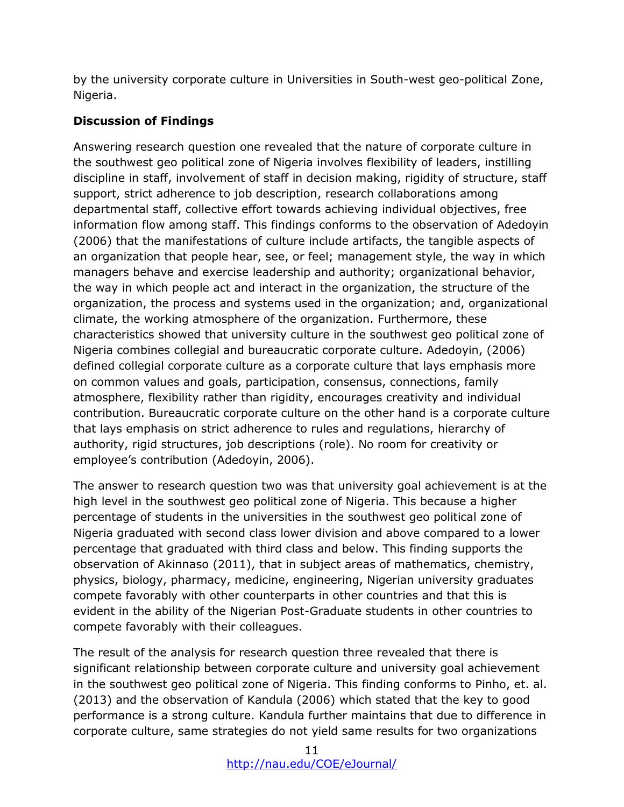by the university corporate culture in Universities in South-west geo-political Zone, Nigeria.

# **Discussion of Findings**

Answering research question one revealed that the nature of corporate culture in the southwest geo political zone of Nigeria involves flexibility of leaders, instilling discipline in staff, involvement of staff in decision making, rigidity of structure, staff support, strict adherence to job description, research collaborations among departmental staff, collective effort towards achieving individual objectives, free information flow among staff. This findings conforms to the observation of Adedoyin (2006) that the manifestations of culture include artifacts, the tangible aspects of an organization that people hear, see, or feel; management style, the way in which managers behave and exercise leadership and authority; organizational behavior, the way in which people act and interact in the organization, the structure of the organization, the process and systems used in the organization; and, organizational climate, the working atmosphere of the organization. Furthermore, these characteristics showed that university culture in the southwest geo political zone of Nigeria combines collegial and bureaucratic corporate culture. Adedoyin, (2006) defined collegial corporate culture as a corporate culture that lays emphasis more on common values and goals, participation, consensus, connections, family atmosphere, flexibility rather than rigidity, encourages creativity and individual contribution. Bureaucratic corporate culture on the other hand is a corporate culture that lays emphasis on strict adherence to rules and regulations, hierarchy of authority, rigid structures, job descriptions (role). No room for creativity or employee's contribution (Adedoyin, 2006).

The answer to research question two was that university goal achievement is at the high level in the southwest geo political zone of Nigeria. This because a higher percentage of students in the universities in the southwest geo political zone of Nigeria graduated with second class lower division and above compared to a lower percentage that graduated with third class and below. This finding supports the observation of Akinnaso (2011), that in subject areas of mathematics, chemistry, physics, biology, pharmacy, medicine, engineering, Nigerian university graduates compete favorably with other counterparts in other countries and that this is evident in the ability of the Nigerian Post-Graduate students in other countries to compete favorably with their colleagues.

The result of the analysis for research question three revealed that there is significant relationship between corporate culture and university goal achievement in the southwest geo political zone of Nigeria. This finding conforms to Pinho, et. al. (2013) and the observation of Kandula (2006) which stated that the key to good performance is a strong culture. Kandula further maintains that due to difference in corporate culture, same strategies do not yield same results for two organizations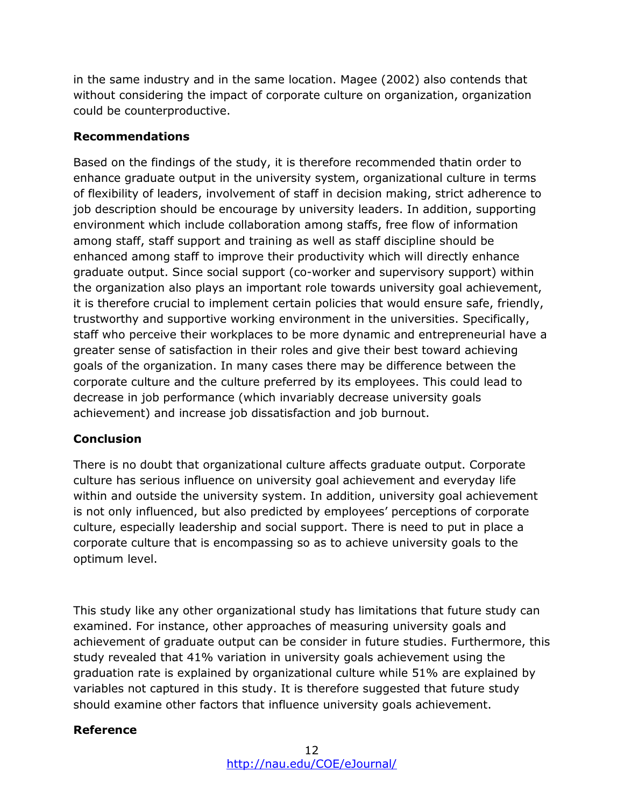in the same industry and in the same location. Magee (2002) also contends that without considering the impact of corporate culture on organization, organization could be counterproductive.

### **Recommendations**

Based on the findings of the study, it is therefore recommended thatin order to enhance graduate output in the university system, organizational culture in terms of flexibility of leaders, involvement of staff in decision making, strict adherence to job description should be encourage by university leaders. In addition, supporting environment which include collaboration among staffs, free flow of information among staff, staff support and training as well as staff discipline should be enhanced among staff to improve their productivity which will directly enhance graduate output. Since social support (co-worker and supervisory support) within the organization also plays an important role towards university goal achievement, it is therefore crucial to implement certain policies that would ensure safe, friendly, trustworthy and supportive working environment in the universities. Specifically, staff who perceive their workplaces to be more dynamic and entrepreneurial have a greater sense of satisfaction in their roles and give their best toward achieving goals of the organization. In many cases there may be difference between the corporate culture and the culture preferred by its employees. This could lead to decrease in job performance (which invariably decrease university goals achievement) and increase job dissatisfaction and job burnout.

### **Conclusion**

There is no doubt that organizational culture affects graduate output. Corporate culture has serious influence on university goal achievement and everyday life within and outside the university system. In addition, university goal achievement is not only influenced, but also predicted by employees' perceptions of corporate culture, especially leadership and social support. There is need to put in place a corporate culture that is encompassing so as to achieve university goals to the optimum level.

This study like any other organizational study has limitations that future study can examined. For instance, other approaches of measuring university goals and achievement of graduate output can be consider in future studies. Furthermore, this study revealed that 41% variation in university goals achievement using the graduation rate is explained by organizational culture while 51% are explained by variables not captured in this study. It is therefore suggested that future study should examine other factors that influence university goals achievement.

### **Reference**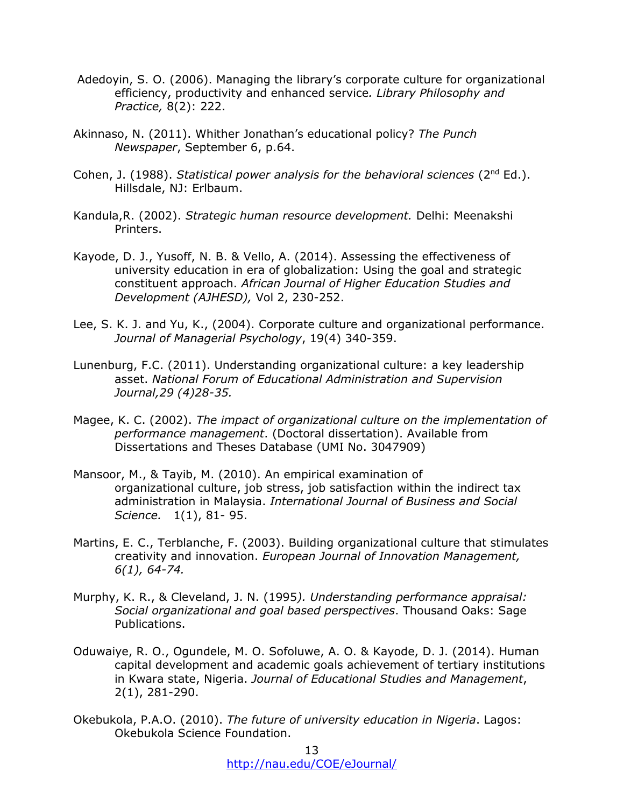- Adedoyin, S. O. (2006). Managing the library's corporate culture for organizational efficiency, productivity and enhanced service*. Library Philosophy and Practice,* 8(2): 222.
- Akinnaso, N. (2011). Whither Jonathan's educational policy? *The Punch Newspaper*, September 6, p.64.
- Cohen, J. (1988). *Statistical power analysis for the behavioral sciences* (2<sup>nd</sup> Ed.). Hillsdale, NJ: Erlbaum.
- Kandula,R. (2002). *Strategic human resource development.* Delhi: Meenakshi Printers.
- Kayode, D. J., Yusoff, N. B. & Vello, A. (2014). Assessing the effectiveness of university education in era of globalization: Using the goal and strategic constituent approach. *African Journal of Higher Education Studies and Development (AJHESD),* Vol 2, 230-252.
- Lee, S. K. J. and Yu, K., (2004). Corporate culture and organizational performance. *Journal of Managerial Psychology*, 19(4) 340-359.
- Lunenburg, F.C. (2011). Understanding organizational culture: a key leadership asset. *National Forum of Educational Administration and Supervision Journal,29 (4)28-35.*
- Magee, K. C. (2002). *The impact of organizational culture on the implementation of performance management*. (Doctoral dissertation). Available from Dissertations and Theses Database (UMI No. 3047909)
- Mansoor, M., & Tayib, M. (2010). An empirical examination of organizational culture, job stress, job satisfaction within the indirect tax administration in Malaysia. *International Journal of Business and Social Science.* 1(1), 81- 95.
- Martins, E. C., Terblanche, F. (2003). Building organizational culture that stimulates creativity and innovation. *European Journal of Innovation Management, 6(1), 64-74.*
- Murphy, K. R., & Cleveland, J. N. (1995*). Understanding performance appraisal: Social organizational and goal based perspectives*. Thousand Oaks: Sage Publications.
- Oduwaiye, R. O., Ogundele, M. O. Sofoluwe, A. O. & Kayode, D. J. (2014). Human capital development and academic goals achievement of tertiary institutions in Kwara state, Nigeria. *Journal of Educational Studies and Management*, 2(1), 281-290.
- Okebukola, P.A.O. (2010). *The future of university education in Nigeria*. Lagos: Okebukola Science Foundation.